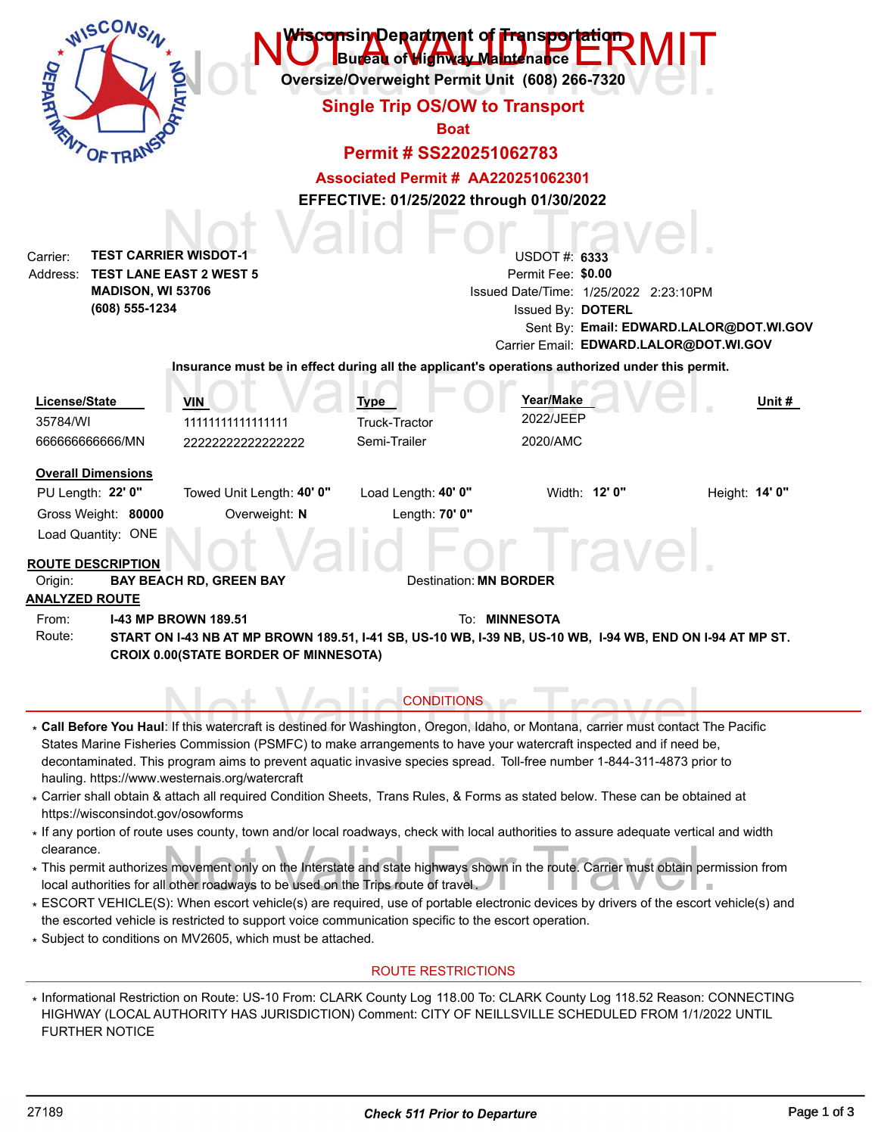| WISCONS<br><b>DEPARTNE</b><br><b>OF TRA</b>                                                                                                                 |                                                                                                                                     | Bureau of Highway Maintenance<br><b>Single Trip OS/OW to Transport</b><br><b>Boat</b><br>Permit # SS220251062783 | <del>iscon</del> sin Denartment of Fransportation<br>Oversize/Overweight Permit Unit (608) 266-7320                                                                                                                                                                                                                                                                                                                                                                                                                                                                                                                                                                                                                                                                                                |                                         |
|-------------------------------------------------------------------------------------------------------------------------------------------------------------|-------------------------------------------------------------------------------------------------------------------------------------|------------------------------------------------------------------------------------------------------------------|----------------------------------------------------------------------------------------------------------------------------------------------------------------------------------------------------------------------------------------------------------------------------------------------------------------------------------------------------------------------------------------------------------------------------------------------------------------------------------------------------------------------------------------------------------------------------------------------------------------------------------------------------------------------------------------------------------------------------------------------------------------------------------------------------|-----------------------------------------|
|                                                                                                                                                             |                                                                                                                                     | <b>Associated Permit # AA220251062301</b>                                                                        |                                                                                                                                                                                                                                                                                                                                                                                                                                                                                                                                                                                                                                                                                                                                                                                                    |                                         |
|                                                                                                                                                             |                                                                                                                                     |                                                                                                                  | EFFECTIVE: 01/25/2022 through 01/30/2022                                                                                                                                                                                                                                                                                                                                                                                                                                                                                                                                                                                                                                                                                                                                                           |                                         |
| <b>TEST CARRIER WISDOT-1</b><br>Carrier:<br>Address:<br>MADISON, WI 53706<br>(608) 555-1234                                                                 | <b>TEST LANE EAST 2 WEST 5</b>                                                                                                      |                                                                                                                  | <b>USDOT #: 6333</b><br>Permit Fee: \$0.00<br>Issued Date/Time: 1/25/2022 2:23:10PM<br>Issued By: DOTERL<br>Carrier Email: EDWARD.LALOR@DOT.WI.GOV                                                                                                                                                                                                                                                                                                                                                                                                                                                                                                                                                                                                                                                 | Sent By: Email: EDWARD.LALOR@DOT.WI.GOV |
|                                                                                                                                                             |                                                                                                                                     |                                                                                                                  | Insurance must be in effect during all the applicant's operations authorized under this permit.                                                                                                                                                                                                                                                                                                                                                                                                                                                                                                                                                                                                                                                                                                    |                                         |
| License/State<br>35784/WI<br>66666666666/MN                                                                                                                 | VIN<br>11111111111111111<br>22222222222222222                                                                                       | <b>Type</b><br>Truck-Tractor<br>Semi-Trailer                                                                     | Year/Make<br>2022/JEEP<br>2020/AMC                                                                                                                                                                                                                                                                                                                                                                                                                                                                                                                                                                                                                                                                                                                                                                 | Unit #                                  |
| <b>Overall Dimensions</b><br>PU Length: 22' 0"<br>Gross Weight: 80000<br>Load Quantity: ONE<br><b>ROUTE DESCRIPTION</b><br>Origin:<br><b>ANALYZED ROUTE</b> | Towed Unit Length: 40' 0"<br>Overweight: N<br><b>BAY BEACH RD, GREEN BAY</b>                                                        | Load Length: 40' 0"<br>Length: 70' 0"                                                                            | Width: 12' 0"<br>raver<br>Destination: <b>MN BORDER</b>                                                                                                                                                                                                                                                                                                                                                                                                                                                                                                                                                                                                                                                                                                                                            | Height: 14' 0"                          |
| From:<br>Route:                                                                                                                                             | <b>I-43 MP BROWN 189.51</b><br><b>CROIX 0.00(STATE BORDER OF MINNESOTA)</b>                                                         | <b>CONDITIONS</b>                                                                                                | To: MINNESOTA<br>START ON 1-43 NB AT MP BROWN 189.51, 1-41 SB, US-10 WB, 1-39 NB, US-10 WB, 1-94 WB, END ON 1-94 AT MP ST.                                                                                                                                                                                                                                                                                                                                                                                                                                                                                                                                                                                                                                                                         |                                         |
| https://wisconsindot.gov/osowforms<br>clearance.                                                                                                            | hauling. https://www.westernais.org/watercraft<br>local authorities for all other roadways to be used on the Trips route of travel. |                                                                                                                  | * Call Before You Haul: If this watercraft is destined for Washington, Oregon, Idaho, or Montana, carrier must contact The Pacific<br>States Marine Fisheries Commission (PSMFC) to make arrangements to have your watercraft inspected and if need be,<br>decontaminated. This program aims to prevent aquatic invasive species spread. Toll-free number 1-844-311-4873 prior to<br>* Carrier shall obtain & attach all required Condition Sheets, Trans Rules, & Forms as stated below. These can be obtained at<br>* If any portion of route uses county, town and/or local roadways, check with local authorities to assure adequate vertical and width<br>* This permit authorizes movement only on the Interstate and state highways shown in the route. Carrier must obtain permission from |                                         |

- local authorities for all other roadways to be used on the Trips route of travel . \*
- ESCORT VEHICLE(S): When escort vehicle(s) are required, use of portable electronic devices by drivers of the escort vehicle(s) and \* the escorted vehicle is restricted to support voice communication specific to the escort operation.
- Subject to conditions on MV2605, which must be attached. \*

### ROUTE RESTRICTIONS

\* Informational Restriction on Route: US-10 From: CLARK County Log 118.00 To: CLARK County Log 118.52 Reason: CONNECTING HIGHWAY (LOCAL AUTHORITY HAS JURISDICTION) Comment: CITY OF NEILLSVILLE SCHEDULED FROM 1/1/2022 UNTIL FURTHER NOTICE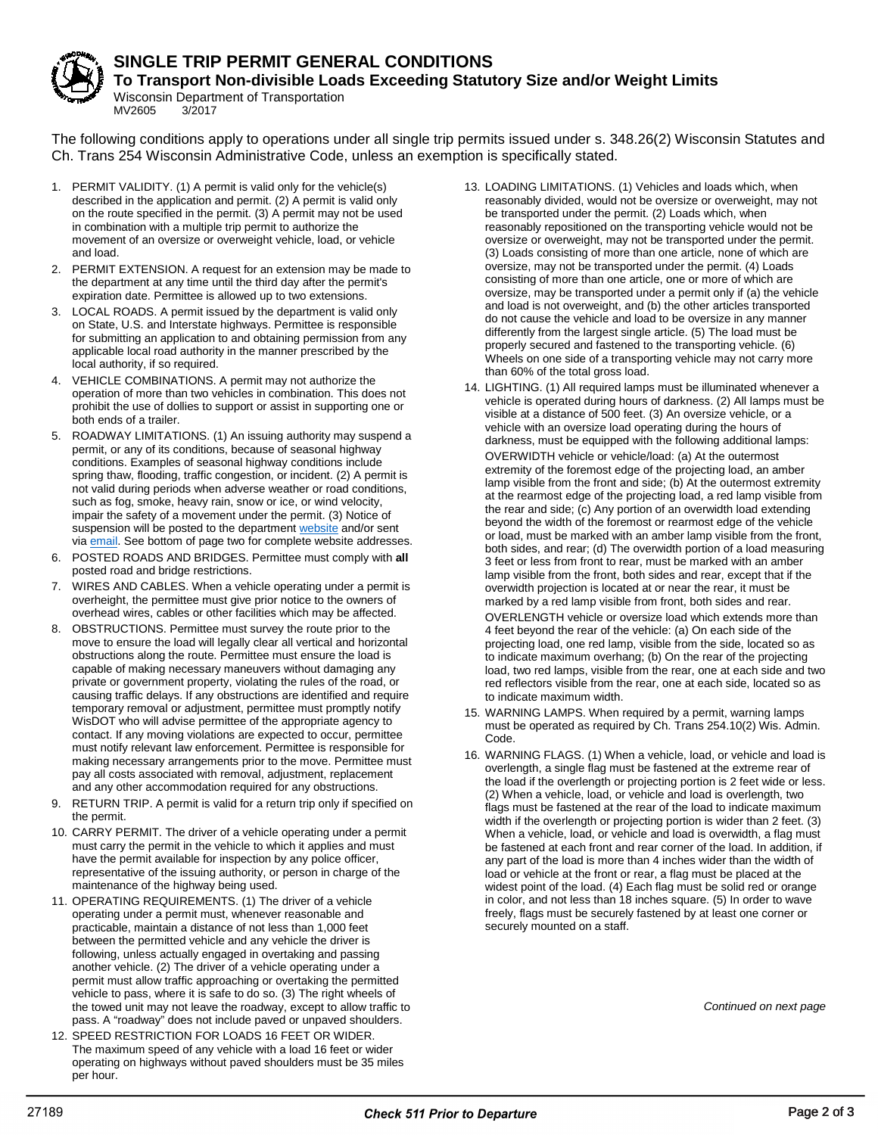

## **SINGLE TRIP PERMIT GENERAL CONDITIONS**

**To Transport Non-divisible Loads Exceeding Statutory Size and/or Weight Limits**

Wisconsin Department of Transportation<br>MV2605 3/2017 MV2605

The following conditions apply to operations under all single trip permits issued under s. 348.26(2) Wisconsin Statutes and Ch. Trans 254 Wisconsin Administrative Code, unless an exemption is specifically stated.

- 1. PERMIT VALIDITY. (1) A permit is valid only for the vehicle(s) described in the application and permit. (2) A permit is valid only on the route specified in the permit. (3) A permit may not be used in combination with a multiple trip permit to authorize the movement of an oversize or overweight vehicle, load, or vehicle and load.
- 2. PERMIT EXTENSION. A request for an extension may be made to the department at any time until the third day after the permit's expiration date. Permittee is allowed up to two extensions.
- 3. LOCAL ROADS. A permit issued by the department is valid only on State, U.S. and Interstate highways. Permittee is responsible for submitting an application to and obtaining permission from any applicable local road authority in the manner prescribed by the local authority, if so required.
- 4. VEHICLE COMBINATIONS. A permit may not authorize the operation of more than two vehicles in combination. This does not prohibit the use of dollies to support or assist in supporting one or both ends of a trailer.
- 5. ROADWAY LIMITATIONS. (1) An issuing authority may suspend a permit, or any of its conditions, because of seasonal highway conditions. Examples of seasonal highway conditions include spring thaw, flooding, traffic congestion, or incident. (2) A permit is not valid during periods when adverse weather or road conditions, such as fog, smoke, heavy rain, snow or ice, or wind velocity, impair the safety of a movement under the permit. (3) Notice of suspension will be posted to the departmen[t website](http://wisconsindot.gov/osowpermits) and/or sent via [email.](http://wisconsindot.gov/osowemail) See bottom of page two for complete website addresses.
- 6. POSTED ROADS AND BRIDGES. Permittee must comply with **all** posted road and bridge restrictions.
- 7. WIRES AND CABLES. When a vehicle operating under a permit is overheight, the permittee must give prior notice to the owners of overhead wires, cables or other facilities which may be affected.
- 8. OBSTRUCTIONS. Permittee must survey the route prior to the move to ensure the load will legally clear all vertical and horizontal obstructions along the route. Permittee must ensure the load is capable of making necessary maneuvers without damaging any private or government property, violating the rules of the road, or causing traffic delays. If any obstructions are identified and require temporary removal or adjustment, permittee must promptly notify WisDOT who will advise permittee of the appropriate agency to contact. If any moving violations are expected to occur, permittee must notify relevant law enforcement. Permittee is responsible for making necessary arrangements prior to the move. Permittee must pay all costs associated with removal, adjustment, replacement and any other accommodation required for any obstructions.
- 9. RETURN TRIP. A permit is valid for a return trip only if specified on the permit.
- 10. CARRY PERMIT. The driver of a vehicle operating under a permit must carry the permit in the vehicle to which it applies and must have the permit available for inspection by any police officer, representative of the issuing authority, or person in charge of the maintenance of the highway being used.
- 11. OPERATING REQUIREMENTS. (1) The driver of a vehicle operating under a permit must, whenever reasonable and practicable, maintain a distance of not less than 1,000 feet between the permitted vehicle and any vehicle the driver is following, unless actually engaged in overtaking and passing another vehicle. (2) The driver of a vehicle operating under a permit must allow traffic approaching or overtaking the permitted vehicle to pass, where it is safe to do so. (3) The right wheels of the towed unit may not leave the roadway, except to allow traffic to pass. A "roadway" does not include paved or unpaved shoulders.
- 12. SPEED RESTRICTION FOR LOADS 16 FEET OR WIDER. The maximum speed of any vehicle with a load 16 feet or wider operating on highways without paved shoulders must be 35 miles per hour.
- 13. LOADING LIMITATIONS. (1) Vehicles and loads which, when reasonably divided, would not be oversize or overweight, may not be transported under the permit. (2) Loads which, when reasonably repositioned on the transporting vehicle would not be oversize or overweight, may not be transported under the permit. (3) Loads consisting of more than one article, none of which are oversize, may not be transported under the permit. (4) Loads consisting of more than one article, one or more of which are oversize, may be transported under a permit only if (a) the vehicle and load is not overweight, and (b) the other articles transported do not cause the vehicle and load to be oversize in any manner differently from the largest single article. (5) The load must be properly secured and fastened to the transporting vehicle. (6) Wheels on one side of a transporting vehicle may not carry more than 60% of the total gross load.
- 14. LIGHTING. (1) All required lamps must be illuminated whenever a vehicle is operated during hours of darkness. (2) All lamps must be visible at a distance of 500 feet. (3) An oversize vehicle, or a vehicle with an oversize load operating during the hours of darkness, must be equipped with the following additional lamps: OVERWIDTH vehicle or vehicle/load: (a) At the outermost extremity of the foremost edge of the projecting load, an amber lamp visible from the front and side; (b) At the outermost extremity at the rearmost edge of the projecting load, a red lamp visible from the rear and side; (c) Any portion of an overwidth load extending beyond the width of the foremost or rearmost edge of the vehicle or load, must be marked with an amber lamp visible from the front, both sides, and rear; (d) The overwidth portion of a load measuring 3 feet or less from front to rear, must be marked with an amber lamp visible from the front, both sides and rear, except that if the overwidth projection is located at or near the rear, it must be marked by a red lamp visible from front, both sides and rear. OVERLENGTH vehicle or oversize load which extends more than

4 feet beyond the rear of the vehicle: (a) On each side of the projecting load, one red lamp, visible from the side, located so as to indicate maximum overhang; (b) On the rear of the projecting load, two red lamps, visible from the rear, one at each side and two red reflectors visible from the rear, one at each side, located so as to indicate maximum width.

- 15. WARNING LAMPS. When required by a permit, warning lamps must be operated as required by Ch. Trans 254.10(2) Wis. Admin. Code.
- 16. WARNING FLAGS. (1) When a vehicle, load, or vehicle and load is overlength, a single flag must be fastened at the extreme rear of the load if the overlength or projecting portion is 2 feet wide or less. (2) When a vehicle, load, or vehicle and load is overlength, two flags must be fastened at the rear of the load to indicate maximum width if the overlength or projecting portion is wider than 2 feet. (3) When a vehicle, load, or vehicle and load is overwidth, a flag must be fastened at each front and rear corner of the load. In addition, if any part of the load is more than 4 inches wider than the width of load or vehicle at the front or rear, a flag must be placed at the widest point of the load. (4) Each flag must be solid red or orange in color, and not less than 18 inches square. (5) In order to wave freely, flags must be securely fastened by at least one corner or securely mounted on a staff.

*Continued on next page*